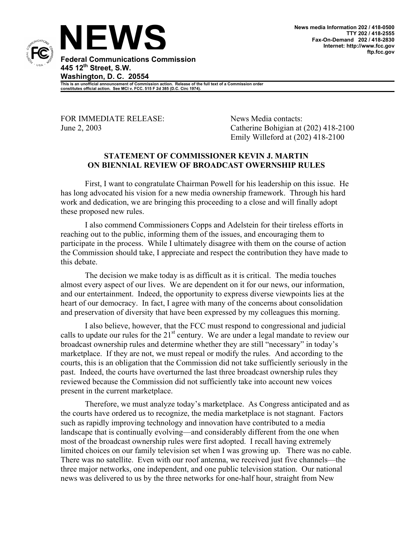

**This is an unofficial announcement of Commission action. Release of the full text of a Commission order constitutes official action. See MCI v. FCC. 515 F 2d 385 (D.C. Circ 1974).** 

FOR IMMEDIATE RELEASE: News Media contacts:

June 2, 2003 Catherine Bohigian at (202) 418-2100 Emily Willeford at (202) 418-2100

## **STATEMENT OF COMMISSIONER KEVIN J. MARTIN ON BIENNIAL REVIEW OF BROADCAST OWERNSHIP RULES**

First, I want to congratulate Chairman Powell for his leadership on this issue. He has long advocated his vision for a new media ownership framework. Through his hard work and dedication, we are bringing this proceeding to a close and will finally adopt these proposed new rules.

I also commend Commissioners Copps and Adelstein for their tireless efforts in reaching out to the public, informing them of the issues, and encouraging them to participate in the process. While I ultimately disagree with them on the course of action the Commission should take, I appreciate and respect the contribution they have made to this debate.

The decision we make today is as difficult as it is critical. The media touches almost every aspect of our lives. We are dependent on it for our news, our information, and our entertainment. Indeed, the opportunity to express diverse viewpoints lies at the heart of our democracy. In fact, I agree with many of the concerns about consolidation and preservation of diversity that have been expressed by my colleagues this morning.

I also believe, however, that the FCC must respond to congressional and judicial calls to update our rules for the  $21<sup>st</sup>$  century. We are under a legal mandate to review our broadcast ownership rules and determine whether they are still "necessary" in today's marketplace. If they are not, we must repeal or modify the rules. And according to the courts, this is an obligation that the Commission did not take sufficiently seriously in the past. Indeed, the courts have overturned the last three broadcast ownership rules they reviewed because the Commission did not sufficiently take into account new voices present in the current marketplace.

Therefore, we must analyze today's marketplace. As Congress anticipated and as the courts have ordered us to recognize, the media marketplace is not stagnant. Factors such as rapidly improving technology and innovation have contributed to a media landscape that is continually evolving—and considerably different from the one when most of the broadcast ownership rules were first adopted. I recall having extremely limited choices on our family television set when I was growing up. There was no cable. There was no satellite. Even with our roof antenna, we received just five channels—the three major networks, one independent, and one public television station. Our national news was delivered to us by the three networks for one-half hour, straight from New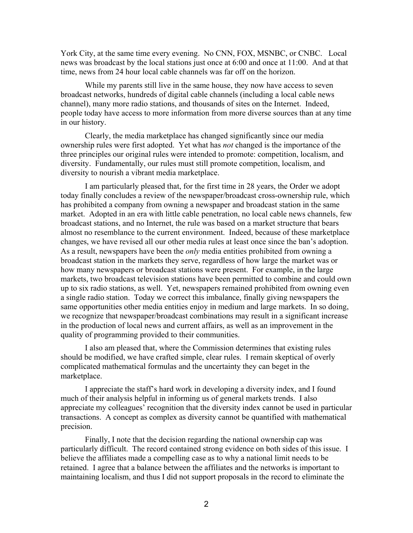York City, at the same time every evening. No CNN, FOX, MSNBC, or CNBC. Local news was broadcast by the local stations just once at 6:00 and once at 11:00. And at that time, news from 24 hour local cable channels was far off on the horizon.

While my parents still live in the same house, they now have access to seven broadcast networks, hundreds of digital cable channels (including a local cable news channel), many more radio stations, and thousands of sites on the Internet. Indeed, people today have access to more information from more diverse sources than at any time in our history.

Clearly, the media marketplace has changed significantly since our media ownership rules were first adopted. Yet what has *not* changed is the importance of the three principles our original rules were intended to promote: competition, localism, and diversity. Fundamentally, our rules must still promote competition, localism, and diversity to nourish a vibrant media marketplace.

I am particularly pleased that, for the first time in 28 years, the Order we adopt today finally concludes a review of the newspaper/broadcast cross-ownership rule, which has prohibited a company from owning a newspaper and broadcast station in the same market. Adopted in an era with little cable penetration, no local cable news channels, few broadcast stations, and no Internet, the rule was based on a market structure that bears almost no resemblance to the current environment. Indeed, because of these marketplace changes, we have revised all our other media rules at least once since the ban's adoption. As a result, newspapers have been the *only* media entities prohibited from owning a broadcast station in the markets they serve, regardless of how large the market was or how many newspapers or broadcast stations were present. For example, in the large markets, two broadcast television stations have been permitted to combine and could own up to six radio stations, as well. Yet, newspapers remained prohibited from owning even a single radio station. Today we correct this imbalance, finally giving newspapers the same opportunities other media entities enjoy in medium and large markets. In so doing, we recognize that newspaper/broadcast combinations may result in a significant increase in the production of local news and current affairs, as well as an improvement in the quality of programming provided to their communities.

I also am pleased that, where the Commission determines that existing rules should be modified, we have crafted simple, clear rules. I remain skeptical of overly complicated mathematical formulas and the uncertainty they can beget in the marketplace.

I appreciate the staff's hard work in developing a diversity index, and I found much of their analysis helpful in informing us of general markets trends. I also appreciate my colleagues' recognition that the diversity index cannot be used in particular transactions. A concept as complex as diversity cannot be quantified with mathematical precision.

Finally, I note that the decision regarding the national ownership cap was particularly difficult. The record contained strong evidence on both sides of this issue. I believe the affiliates made a compelling case as to why a national limit needs to be retained. I agree that a balance between the affiliates and the networks is important to maintaining localism, and thus I did not support proposals in the record to eliminate the